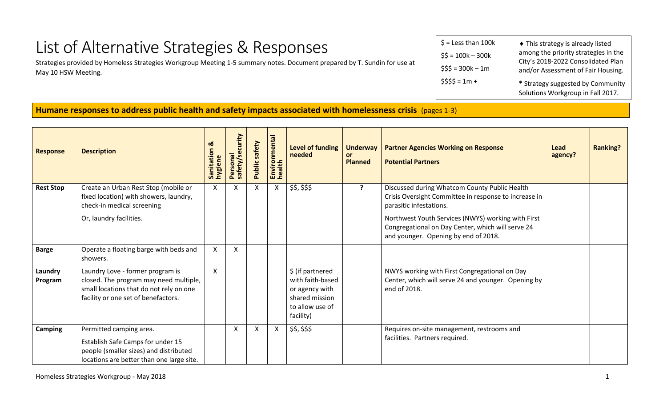## List of Alternative Strategies & Responses

Strategies provided by Homeless Strategies Workgroup Meeting 1-5 summary notes. Document prepared by T. Sundin for use at May 10 HSW Meeting.

| $$ =$ Less than 100 $k$ | ◆ This strategy is already listed                                        |
|-------------------------|--------------------------------------------------------------------------|
| $$5 = 100k - 300k$      | among the priority strategies in the                                     |
| $$55 = 300k - 1m$       | City's 2018-2022 Consolidated Plan<br>and/or Assessment of Fair Housing. |
| $$555 = 1m +$           | * Strategy suggested by Community<br>Solutions Workgroup in Fall 2017.   |

## **Humane responses to address public health and safety impacts associated with homelessness crisis** (pages 1-3)

| <b>Response</b>    | <b>Description</b>                                                                                                                                           | ळ<br>Sanitation<br>nygiene | safety/security<br>Personal | <b>Public safety</b> | Environmental<br>health   | <b>Level of funding</b><br>needed                                                                        | <b>Underway</b><br>or<br><b>Planned</b> | <b>Partner Agencies Working on Response</b><br><b>Potential Partners</b>                                                                                                                                                                                                             | Lead<br>agency? | <b>Ranking?</b> |
|--------------------|--------------------------------------------------------------------------------------------------------------------------------------------------------------|----------------------------|-----------------------------|----------------------|---------------------------|----------------------------------------------------------------------------------------------------------|-----------------------------------------|--------------------------------------------------------------------------------------------------------------------------------------------------------------------------------------------------------------------------------------------------------------------------------------|-----------------|-----------------|
| <b>Rest Stop</b>   | Create an Urban Rest Stop (mobile or<br>fixed location) with showers, laundry,<br>check-in medical screening<br>Or, laundry facilities.                      | $\boldsymbol{\mathsf{X}}$  | $\mathsf{X}$                | $\mathsf{X}$         | $\boldsymbol{\mathsf{X}}$ | \$\$, \$\$\$                                                                                             | $\mathbf{P}$                            | Discussed during Whatcom County Public Health<br>Crisis Oversight Committee in response to increase in<br>parasitic infestations.<br>Northwest Youth Services (NWYS) working with First<br>Congregational on Day Center, which will serve 24<br>and younger. Opening by end of 2018. |                 |                 |
| <b>Barge</b>       | Operate a floating barge with beds and<br>showers.                                                                                                           | $\boldsymbol{\mathsf{X}}$  | X                           |                      |                           |                                                                                                          |                                         |                                                                                                                                                                                                                                                                                      |                 |                 |
| Laundry<br>Program | Laundry Love - former program is<br>closed. The program may need multiple,<br>small locations that do not rely on one<br>facility or one set of benefactors. | $\mathsf{X}$               |                             |                      |                           | \$ (if partnered<br>with faith-based<br>or agency with<br>shared mission<br>to allow use of<br>facility) |                                         | NWYS working with First Congregational on Day<br>Center, which will serve 24 and younger. Opening by<br>end of 2018.                                                                                                                                                                 |                 |                 |
| Camping            | Permitted camping area.<br>Establish Safe Camps for under 15<br>people (smaller sizes) and distributed<br>locations are better than one large site.          |                            | X                           | X                    | X                         | \$\$, \$\$\$                                                                                             |                                         | Requires on-site management, restrooms and<br>facilities. Partners required.                                                                                                                                                                                                         |                 |                 |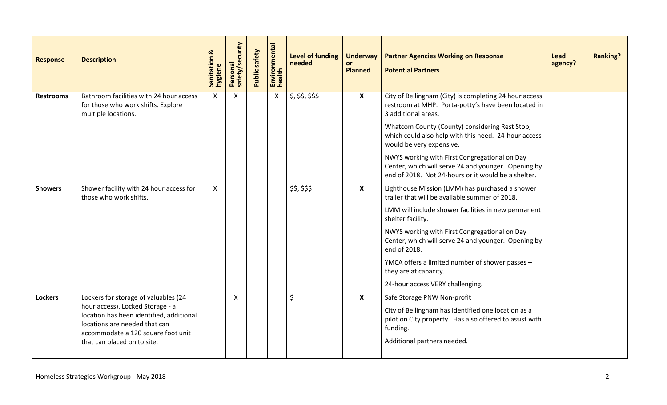| <b>Response</b>  | <b>Description</b>                                                                                                                                                                                                         | ಹ<br>Sanitation<br>hygiene | Personal<br>safety/security | Public safety | Environmental<br>health | <b>Level of funding</b><br>needed | <b>Underway</b><br>or<br><b>Planned</b> | <b>Partner Agencies Working on Response</b><br><b>Potential Partners</b>                                                                                                                                                                                                              | Lead<br>agency? | <b>Ranking?</b> |
|------------------|----------------------------------------------------------------------------------------------------------------------------------------------------------------------------------------------------------------------------|----------------------------|-----------------------------|---------------|-------------------------|-----------------------------------|-----------------------------------------|---------------------------------------------------------------------------------------------------------------------------------------------------------------------------------------------------------------------------------------------------------------------------------------|-----------------|-----------------|
| <b>Restrooms</b> | Bathroom facilities with 24 hour access<br>for those who work shifts. Explore<br>multiple locations.                                                                                                                       | $\mathsf{X}$               | X                           |               | $\mathsf{X}$            | \$, \$\$, \$\$, \$\$              | $\boldsymbol{X}$                        | City of Bellingham (City) is completing 24 hour access<br>restroom at MHP. Porta-potty's have been located in<br>3 additional areas.                                                                                                                                                  |                 |                 |
|                  |                                                                                                                                                                                                                            |                            |                             |               |                         |                                   |                                         | Whatcom County (County) considering Rest Stop,<br>which could also help with this need. 24-hour access<br>would be very expensive.                                                                                                                                                    |                 |                 |
|                  |                                                                                                                                                                                                                            |                            |                             |               |                         |                                   |                                         | NWYS working with First Congregational on Day<br>Center, which will serve 24 and younger. Opening by<br>end of 2018. Not 24-hours or it would be a shelter.                                                                                                                           |                 |                 |
| <b>Showers</b>   | Shower facility with 24 hour access for<br>those who work shifts.                                                                                                                                                          | $\mathsf{X}$               |                             |               |                         | \$\$, \$\$\$                      | $\boldsymbol{\mathsf{X}}$               | Lighthouse Mission (LMM) has purchased a shower<br>trailer that will be available summer of 2018.<br>LMM will include shower facilities in new permanent<br>shelter facility.<br>NWYS working with First Congregational on Day<br>Center, which will serve 24 and younger. Opening by |                 |                 |
|                  |                                                                                                                                                                                                                            |                            |                             |               |                         |                                   |                                         | end of 2018.<br>YMCA offers a limited number of shower passes -<br>they are at capacity.<br>24-hour access VERY challenging.                                                                                                                                                          |                 |                 |
| <b>Lockers</b>   | Lockers for storage of valuables (24<br>hour access). Locked Storage - a<br>location has been identified, additional<br>locations are needed that can<br>accommodate a 120 square foot unit<br>that can placed on to site. |                            | X                           |               |                         | \$                                | $\mathsf{x}$                            | Safe Storage PNW Non-profit<br>City of Bellingham has identified one location as a<br>pilot on City property. Has also offered to assist with<br>funding.<br>Additional partners needed.                                                                                              |                 |                 |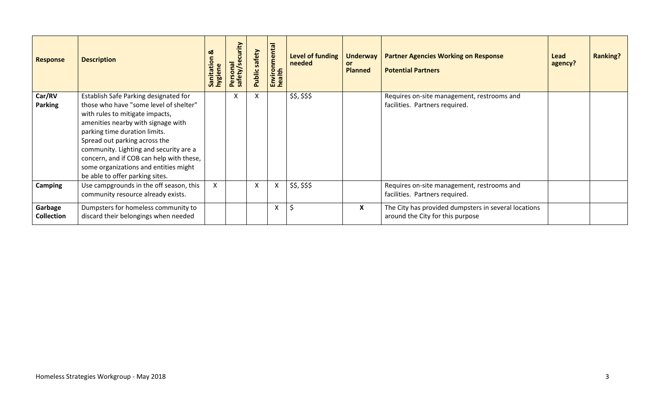| <b>Response</b>              | <b>Description</b>                                                                                                                                                                                                                                                                                                                                                                           | ೲ<br>Sanitation<br>hygiene | curity<br>$\overline{a}$<br>$\overline{\sigma}$<br>safety/s<br>ersona<br>õ. | safety<br>Public | Environmental<br>health | <b>Level of funding</b><br>needed | <b>Underway</b><br>or<br><b>Planned</b> | <b>Partner Agencies Working on Response</b><br><b>Potential Partners</b>                 | Lead<br>agency? | <b>Ranking?</b> |
|------------------------------|----------------------------------------------------------------------------------------------------------------------------------------------------------------------------------------------------------------------------------------------------------------------------------------------------------------------------------------------------------------------------------------------|----------------------------|-----------------------------------------------------------------------------|------------------|-------------------------|-----------------------------------|-----------------------------------------|------------------------------------------------------------------------------------------|-----------------|-----------------|
| Car/RV<br><b>Parking</b>     | Establish Safe Parking designated for<br>those who have "some level of shelter"<br>with rules to mitigate impacts,<br>amenities nearby with signage with<br>parking time duration limits.<br>Spread out parking across the<br>community. Lighting and security are a<br>concern, and if COB can help with these,<br>some organizations and entities might<br>be able to offer parking sites. |                            | X                                                                           | X                |                         | \$\$, \$\$\$                      |                                         | Requires on-site management, restrooms and<br>facilities. Partners required.             |                 |                 |
| Camping                      | Use campgrounds in the off season, this<br>community resource already exists.                                                                                                                                                                                                                                                                                                                | $\mathsf{X}^-$             |                                                                             | X                | X                       | \$\$, \$\$\$                      |                                         | Requires on-site management, restrooms and<br>facilities. Partners required.             |                 |                 |
| Garbage<br><b>Collection</b> | Dumpsters for homeless community to<br>discard their belongings when needed                                                                                                                                                                                                                                                                                                                  |                            |                                                                             |                  | X                       | S,                                | X                                       | The City has provided dumpsters in several locations<br>around the City for this purpose |                 |                 |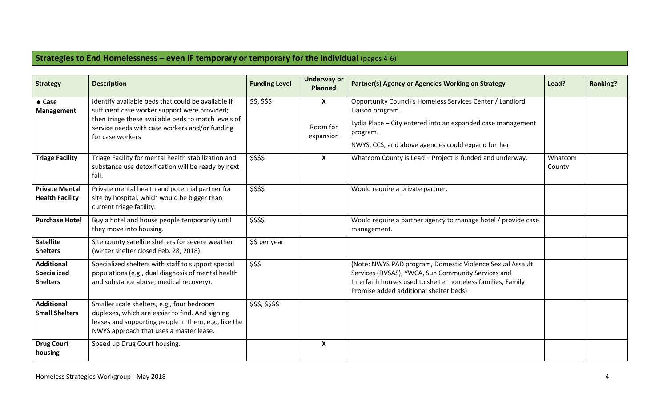## **Strategies to End Homelessness – even IF temporary or temporary for the individual** (pages 4-6)

| <b>Strategy</b>                                     | <b>Description</b>                                                                                                                                                                                                               | <b>Funding Level</b> | <b>Underway or</b><br><b>Planned</b>               | Partner(s) Agency or Agencies Working on Strategy                                                                                                                                                                        | Lead?             | <b>Ranking?</b> |
|-----------------------------------------------------|----------------------------------------------------------------------------------------------------------------------------------------------------------------------------------------------------------------------------------|----------------------|----------------------------------------------------|--------------------------------------------------------------------------------------------------------------------------------------------------------------------------------------------------------------------------|-------------------|-----------------|
| $\triangle$ Case<br>Management                      | Identify available beds that could be available if<br>sufficient case worker support were provided;<br>then triage these available beds to match levels of<br>service needs with case workers and/or funding<br>for case workers | \$\$, \$\$\$         | $\boldsymbol{\mathsf{X}}$<br>Room for<br>expansion | Opportunity Council's Homeless Services Center / Landlord<br>Liaison program.<br>Lydia Place - City entered into an expanded case management<br>program.<br>NWYS, CCS, and above agencies could expand further.          |                   |                 |
| <b>Triage Facility</b>                              | Triage Facility for mental health stabilization and<br>substance use detoxification will be ready by next<br>fall.                                                                                                               | \$\$\$\$             | $\boldsymbol{\mathsf{X}}$                          | Whatcom County is Lead - Project is funded and underway.                                                                                                                                                                 | Whatcom<br>County |                 |
| <b>Private Mental</b><br><b>Health Facility</b>     | Private mental health and potential partner for<br>site by hospital, which would be bigger than<br>current triage facility.                                                                                                      | \$\$\$\$             |                                                    | Would require a private partner.                                                                                                                                                                                         |                   |                 |
| <b>Purchase Hotel</b>                               | Buy a hotel and house people temporarily until<br>they move into housing.                                                                                                                                                        | \$\$\$\$             |                                                    | Would require a partner agency to manage hotel / provide case<br>management.                                                                                                                                             |                   |                 |
| <b>Satellite</b><br><b>Shelters</b>                 | Site county satellite shelters for severe weather<br>(winter shelter closed Feb. 28, 2018).                                                                                                                                      | \$\$ per year        |                                                    |                                                                                                                                                                                                                          |                   |                 |
| <b>Additional</b><br>Specialized<br><b>Shelters</b> | Specialized shelters with staff to support special<br>populations (e.g., dual diagnosis of mental health<br>and substance abuse; medical recovery).                                                                              | \$\$\$               |                                                    | (Note: NWYS PAD program, Domestic Violence Sexual Assault<br>Services (DVSAS), YWCA, Sun Community Services and<br>Interfaith houses used to shelter homeless families, Family<br>Promise added additional shelter beds) |                   |                 |
| <b>Additional</b><br><b>Small Shelters</b>          | Smaller scale shelters, e.g., four bedroom<br>duplexes, which are easier to find. And signing<br>leases and supporting people in them, e.g., like the<br>NWYS approach that uses a master lease.                                 | \$\$\$,\$\$\$\$      |                                                    |                                                                                                                                                                                                                          |                   |                 |
| <b>Drug Court</b><br>housing                        | Speed up Drug Court housing.                                                                                                                                                                                                     |                      | $\boldsymbol{\mathsf{X}}$                          |                                                                                                                                                                                                                          |                   |                 |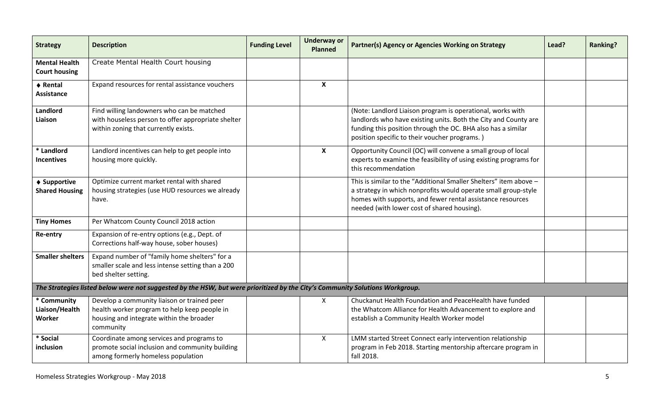| <b>Strategy</b>                              | <b>Description</b>                                                                                                                                   | <b>Funding Level</b> | <b>Underway or</b><br><b>Planned</b> | Partner(s) Agency or Agencies Working on Strategy                                                                                                                                                                                                | Lead? | <b>Ranking?</b> |
|----------------------------------------------|------------------------------------------------------------------------------------------------------------------------------------------------------|----------------------|--------------------------------------|--------------------------------------------------------------------------------------------------------------------------------------------------------------------------------------------------------------------------------------------------|-------|-----------------|
| <b>Mental Health</b><br><b>Court housing</b> | Create Mental Health Court housing                                                                                                                   |                      |                                      |                                                                                                                                                                                                                                                  |       |                 |
| ♦ Rental<br><b>Assistance</b>                | Expand resources for rental assistance vouchers                                                                                                      |                      | $\boldsymbol{\mathsf{X}}$            |                                                                                                                                                                                                                                                  |       |                 |
| Landlord<br>Liaison                          | Find willing landowners who can be matched<br>with houseless person to offer appropriate shelter<br>within zoning that currently exists.             |                      |                                      | (Note: Landlord Liaison program is operational, works with<br>landlords who have existing units. Both the City and County are<br>funding this position through the OC. BHA also has a similar<br>position specific to their voucher programs.)   |       |                 |
| * Landlord<br><b>Incentives</b>              | Landlord incentives can help to get people into<br>housing more quickly.                                                                             |                      | $\boldsymbol{\mathsf{x}}$            | Opportunity Council (OC) will convene a small group of local<br>experts to examine the feasibility of using existing programs for<br>this recommendation                                                                                         |       |                 |
| ♦ Supportive<br><b>Shared Housing</b>        | Optimize current market rental with shared<br>housing strategies (use HUD resources we already<br>have.                                              |                      |                                      | This is similar to the "Additional Smaller Shelters" item above -<br>a strategy in which nonprofits would operate small group-style<br>homes with supports, and fewer rental assistance resources<br>needed (with lower cost of shared housing). |       |                 |
| <b>Tiny Homes</b>                            | Per Whatcom County Council 2018 action                                                                                                               |                      |                                      |                                                                                                                                                                                                                                                  |       |                 |
| Re-entry                                     | Expansion of re-entry options (e.g., Dept. of<br>Corrections half-way house, sober houses)                                                           |                      |                                      |                                                                                                                                                                                                                                                  |       |                 |
| <b>Smaller shelters</b>                      | Expand number of "family home shelters" for a<br>smaller scale and less intense setting than a 200<br>bed shelter setting.                           |                      |                                      |                                                                                                                                                                                                                                                  |       |                 |
|                                              | The Strategies listed below were not suggested by the HSW, but were prioritized by the City's Community Solutions Workgroup.                         |                      |                                      |                                                                                                                                                                                                                                                  |       |                 |
| * Community<br>Liaison/Health<br>Worker      | Develop a community liaison or trained peer<br>health worker program to help keep people in<br>housing and integrate within the broader<br>community |                      | $\mathsf{X}$                         | Chuckanut Health Foundation and PeaceHealth have funded<br>the Whatcom Alliance for Health Advancement to explore and<br>establish a Community Health Worker model                                                                               |       |                 |
| * Social<br>inclusion                        | Coordinate among services and programs to<br>promote social inclusion and community building<br>among formerly homeless population                   |                      | $\mathsf{X}$                         | LMM started Street Connect early intervention relationship<br>program in Feb 2018. Starting mentorship aftercare program in<br>fall 2018.                                                                                                        |       |                 |